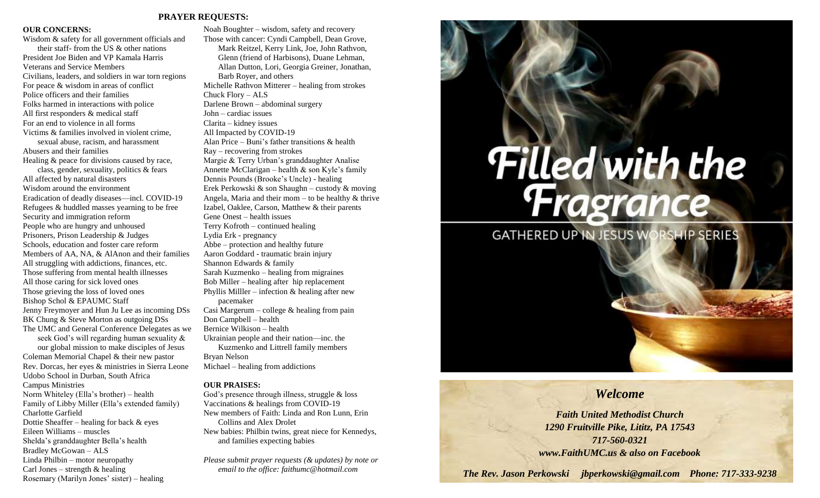### **PRAYER REQUESTS:**

### **OUR CONCERNS:**

Wisdom & safety for all government officials and their staff- from the US & other nations President Joe Biden and VP Kamala Harris Veterans and Service Members Civilians, leaders, and soldiers in war torn regions For peace & wisdom in areas of conflict Police officers and their families Folks harmed in interactions with police All first responders & medical staff For an end to violence in all forms Victims & families involved in violent crime, sexual abuse, racism, and harassment Abusers and their families Healing & peace for divisions caused by race, class, gender, sexuality, politics & fears All affected by natural disasters Wisdom around the environment Eradication of deadly diseases—incl. COVID-19 Refugees & huddled masses yearning to be free Security and immigration reform People who are hungry and unhoused Prisoners, Prison Leadership & Judges Schools, education and foster care reform Members of AA, NA, & AlAnon and their families All struggling with addictions, finances, etc. Those suffering from mental health illnesses All those caring for sick loved ones Those grieving the loss of loved ones Bishop Schol & EPAUMC Staff Jenny Freymoyer and Hun Ju Lee as incoming DSs BK Chung & Steve Morton as outgoing DSs The UMC and General Conference Delegates as we seek God's will regarding human sexuality & our global mission to make disciples of Jesus Coleman Memorial Chapel & their new pastor Rev. Dorcas, her eyes & ministries in Sierra Leone Udobo School in Durban, South Africa Campus Ministries Norm Whiteley (Ella's brother) – health Family of Libby Miller (Ella's extended family) Charlotte Garfield Dottie Sheaffer – healing for back & eyes Eileen Williams – muscles Shelda's granddaughter Bella's health

Bradley McGowan – ALS Linda Philbin – motor neuropathy Carl Jones – strength  $&$  healing

Rosemary (Marilyn Jones' sister) – healing

Noah Boughter – wisdom, safety and recovery Those with cancer: Cyndi Campbell, Dean Grove, Mark Reitzel, Kerry Link, Joe, John Rathvon, Glenn (friend of Harbisons), Duane Lehman, Allan Dutton, Lori, Georgia Greiner, Jonathan, Barb Royer, and others Michelle Rathvon Mitterer – healing from strokes Chuck Flory – ALS Darlene Brown – abdominal surgery John – cardiac issues Clarita – kidney issues All Impacted by COVID-19 Alan Price – Buni's father transitions & health Ray – recovering from strokes Margie & Terry Urban's granddaughter Analise Annette McClarigan – health & son Kyle's family Dennis Pounds (Brooke's Uncle) - healing Erek Perkowski & son Shaughn – custody & moving Angela, Maria and their mom – to be healthy  $&$  thrive Izabel, Oaklee, Carson, Matthew & their parents Gene Onest – health issues Terry Kofroth – continued healing Lydia Erk - pregnancy Abbe – protection and healthy future Aaron Goddard - traumatic brain injury Shannon Edwards & family Sarah Kuzmenko – healing from migraines Bob Miller – healing after hip replacement Phyllis Miller – infection  $\&$  healing after new pacemaker Casi Margerum – college & healing from pain Don Campbell – health Bernice Wilkison – health Ukrainian people and their nation—inc. the Kuzmenko and Littrell family members Bryan Nelson Michael – healing from addictions

### **OUR PRAISES:**

God's presence through illness, struggle & loss Vaccinations & healings from COVID-19 New members of Faith: Linda and Ron Lunn, Erin Collins and Alex Drolet New babies: Philbin twins, great niece for Kennedys, and families expecting babies

*Please submit prayer requests (& updates) by note or email to the office: faithumc@hotmail.com*

# **Filled with the<br>Fragrance**

**GATHERED UP IN JESUS WORSHIP SERIES** 

# *Welcome*

*Faith United Methodist Church 1290 Fruitville Pike, Lititz, PA 17543 717-560-0321 www.FaithUMC.us & also on Facebook*

*The Rev. Jason Perkowski jbperkowski@gmail.com Phone: 717-333-9238*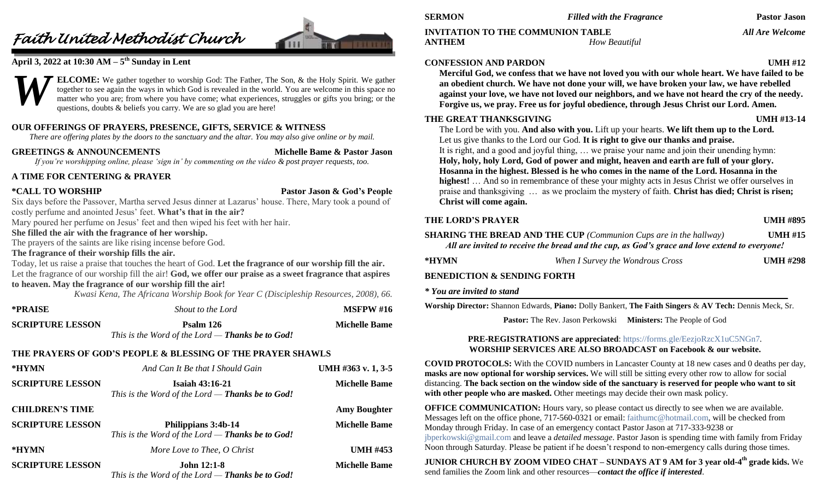# *Faith United Methodist Church*



## **April 3, 2022 at 10:30 AM – 5 th Sunday in Lent**



**ELCOME:** We gather together to worship God: The Father, The Son, & the Holy Spirit. We gather together to see again the ways in which God is revealed in the world. You are welcome in this space no matter who you are; from where you have come; what experiences, struggles or gifts you bring; or the questions, doubts & beliefs you carry. We are so glad you are here!

### **OUR OFFERINGS OF PRAYERS, PRESENCE, GIFTS, SERVICE & WITNESS**

*There are offering plates by the doors to the sanctuary and the altar. You may also give online or by mail.*

### **GREETINGS & ANNOUNCEMENTS Michelle Bame & Pastor Jason**

*If you're worshipping online, please 'sign in' by commenting on the video & post prayer requests, too.*

### **A TIME FOR CENTERING & PRAYER**

**\*CALL TO WORSHIP Pastor Jason & God's People**

Six days before the Passover, Martha served Jesus dinner at Lazarus' house. There, Mary took a pound of costly perfume and anointed Jesus' feet. **What's that in the air?**

Mary poured her perfume on Jesus' feet and then wiped his feet with her hair.

### **She filled the air with the fragrance of her worship.**

The prayers of the saints are like rising incense before God.

### **The fragrance of their worship fills the air.**

Today, let us raise a praise that touches the heart of God. **Let the fragrance of our worship fill the air.** Let the fragrance of our worship fill the air! **God, we offer our praise as a sweet fragrance that aspires to heaven. May the fragrance of our worship fill the air!**

*Kwasi Kena, The Africana Worship Book for Year C (Discipleship Resources, 2008), 66.*

| *PRAISE                 | Shout to the Lord                                                    | <b>MSFPW #16</b>     |
|-------------------------|----------------------------------------------------------------------|----------------------|
| <b>SCRIPTURE LESSON</b> | Psalm 126<br>This is the Word of the Lord — <b>Thanks be to God!</b> | <b>Michelle Bame</b> |
|                         | THE PRAYERS OF GOD'S PEOPLE & BLESSING OF THE PRAYER SHAWLS          |                      |

| *HYMN                   | And Can It Be that I Should Gain                                                  | UMH #363 v. 1, 3-5   |
|-------------------------|-----------------------------------------------------------------------------------|----------------------|
| <b>SCRIPTURE LESSON</b> | <b>Isaiah 43:16-21</b><br>This is the Word of the Lord — <b>Thanks be to God!</b> | <b>Michelle Bame</b> |
| <b>CHILDREN'S TIME</b>  |                                                                                   | <b>Amy Boughter</b>  |
| <b>SCRIPTURE LESSON</b> | Philippians 3:4b-14<br>This is the Word of the Lord $-$ Thanks be to God!         | <b>Michelle Bame</b> |
| *HYMN                   | More Love to Thee, O Christ                                                       | <b>UMH #453</b>      |
| <b>SCRIPTURE LESSON</b> | <b>John 12:1-8</b><br>This is the Word of the Lord — <b>Thanks be to God!</b>     | <b>Michelle Bame</b> |

### **INVITATION TO THE COMMUNION TABLE** *All Are Welcome* **ANTHEM** *How Beautiful*

### **CONFESSION AND PARDON UMH #12**

**Merciful God, we confess that we have not loved you with our whole heart. We have failed to be an obedient church. We have not done your will, we have broken your law, we have rebelled against your love, we have not loved our neighbors, and we have not heard the cry of the needy. Forgive us, we pray. Free us for joyful obedience, through Jesus Christ our Lord. Amen.**

### **THE GREAT THANKSGIVING UMH #13-14**

The Lord be with you. **And also with you.** Lift up your hearts. **We lift them up to the Lord.** Let us give thanks to the Lord our God. **It is right to give our thanks and praise.** It is right, and a good and joyful thing, … we praise your name and join their unending hymn: **Holy, holy, holy Lord, God of power and might, heaven and earth are full of your glory. Hosanna in the highest. Blessed is he who comes in the name of the Lord. Hosanna in the highest!** … And so in remembrance of these your mighty acts in Jesus Christ we offer ourselves in praise and thanksgiving … as we proclaim the mystery of faith. **Christ has died; Christ is risen; Christ will come again.**

### **THE LORD'S PRAYER UMH #895**

- **SHARING THE BREAD AND THE CUP** *(Communion Cups are in the hallway)* **UMH #15** *All are invited to receive the bread and the cup, as God's grace and love extend to everyone!*
- **\*HYMN** *When I Survey the Wondrous Cross* **UMH #298**

### **BENEDICTION & SENDING FORTH**

### *\* You are invited to stand*

**Worship Director:** Shannon Edwards, **Piano:** Dolly Bankert, **The Faith Singers** & **AV Tech:** Dennis Meck, Sr.

**Pastor:** The Rev. Jason Perkowski **Ministers:** The People of God

### **PRE-REGISTRATIONS are appreciated**:<https://forms.gle/EezjoRzcX1uC5NGn7>*.* **WORSHIP SERVICES ARE ALSO BROADCAST on Facebook & our website.**

**COVID PROTOCOLS:** With the COVID numbers in Lancaster County at 18 new cases and 0 deaths per day, **masks are now optional for worship services.** We will still be sitting every other row to allow for social distancing. **The back section on the window side of the sanctuary is reserved for people who want to sit**  with other people who are masked. Other meetings may decide their own mask policy.

**OFFICE COMMUNICATION:** Hours vary, so please contact us directly to see when we are available. Messages left on the office phone, 717-560-0321 or email: [faithumc@hotmail.com,](mailto:faithumc@hotmail.com) will be checked from Monday through Friday. In case of an emergency contact Pastor Jason at 717-333-9238 or [jbperkowski@gmail.com](mailto:jbperkowski@gmail.com) and leave a *detailed message*. Pastor Jason is spending time with family from Friday Noon through Saturday. Please be patient if he doesn't respond to non-emergency calls during those times.

**JUNIOR CHURCH BY ZOOM VIDEO CHAT – SUNDAYS AT 9 AM for 3 year old-4 th grade kids.** We send families the Zoom link and other resources—*contact the office if interested*.